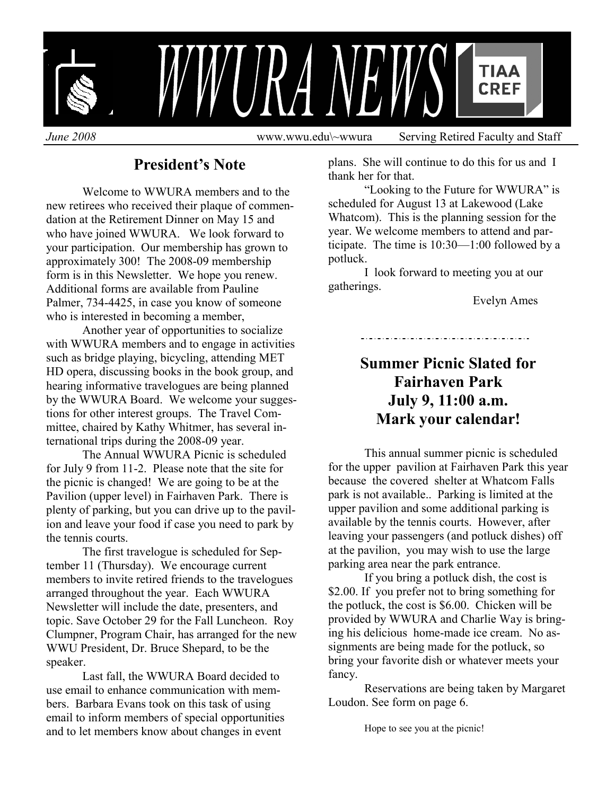

# **President's Note**

 Welcome to WWURA members and to the new retirees who received their plaque of commendation at the Retirement Dinner on May 15 and who have joined WWURA. We look forward to your participation. Our membership has grown to approximately 300! The 2008-09 membership form is in this Newsletter. We hope you renew. Additional forms are available from Pauline Palmer, 734-4425, in case you know of someone who is interested in becoming a member,

 Another year of opportunities to socialize with WWURA members and to engage in activities such as bridge playing, bicycling, attending MET HD opera, discussing books in the book group, and hearing informative travelogues are being planned by the WWURA Board. We welcome your suggestions for other interest groups. The Travel Committee, chaired by Kathy Whitmer, has several international trips during the 2008-09 year.

 The Annual WWURA Picnic is scheduled for July 9 from 11-2. Please note that the site for the picnic is changed! We are going to be at the Pavilion (upper level) in Fairhaven Park. There is plenty of parking, but you can drive up to the pavilion and leave your food if case you need to park by the tennis courts.

 The first travelogue is scheduled for September 11 (Thursday). We encourage current members to invite retired friends to the travelogues arranged throughout the year. Each WWURA Newsletter will include the date, presenters, and topic. Save October 29 for the Fall Luncheon. Roy Clumpner, Program Chair, has arranged for the new WWU President, Dr. Bruce Shepard, to be the speaker.

 Last fall, the WWURA Board decided to use email to enhance communication with members. Barbara Evans took on this task of using email to inform members of special opportunities and to let members know about changes in event

plans. She will continue to do this for us and I thank her for that.

 "Looking to the Future for WWURA" is scheduled for August 13 at Lakewood (Lake Whatcom). This is the planning session for the year. We welcome members to attend and participate. The time is 10:30—1:00 followed by a potluck.

 I look forward to meeting you at our gatherings.

Evelyn Ames

## 

# **Summer Picnic Slated for Fairhaven Park July 9, 11:00 a.m. Mark your calendar!**

This annual summer picnic is scheduled for the upper pavilion at Fairhaven Park this year because the covered shelter at Whatcom Falls park is not available.. Parking is limited at the upper pavilion and some additional parking is available by the tennis courts. However, after leaving your passengers (and potluck dishes) off at the pavilion, you may wish to use the large parking area near the park entrance.

 If you bring a potluck dish, the cost is \$2.00. If you prefer not to bring something for the potluck, the cost is \$6.00. Chicken will be provided by WWURA and Charlie Way is bringing his delicious home-made ice cream. No assignments are being made for the potluck, so bring your favorite dish or whatever meets your fancy.

 Reservations are being taken by Margaret Loudon. See form on page 6.

Hope to see you at the picnic!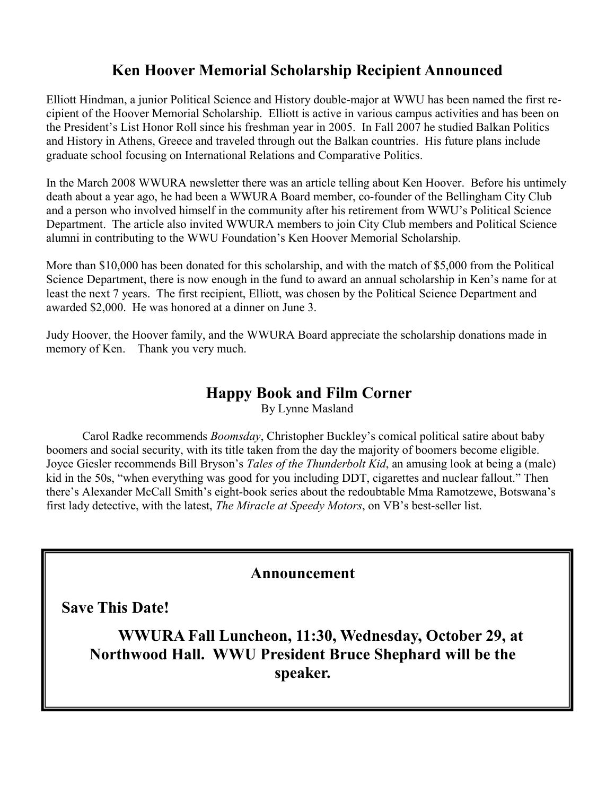# **Ken Hoover Memorial Scholarship Recipient Announced**

Elliott Hindman, a junior Political Science and History double-major at WWU has been named the first recipient of the Hoover Memorial Scholarship. Elliott is active in various campus activities and has been on the President's List Honor Roll since his freshman year in 2005. In Fall 2007 he studied Balkan Politics and History in Athens, Greece and traveled through out the Balkan countries. His future plans include graduate school focusing on International Relations and Comparative Politics.

In the March 2008 WWURA newsletter there was an article telling about Ken Hoover. Before his untimely death about a year ago, he had been a WWURA Board member, co-founder of the Bellingham City Club and a person who involved himself in the community after his retirement from WWU's Political Science Department. The article also invited WWURA members to join City Club members and Political Science alumni in contributing to the WWU Foundation's Ken Hoover Memorial Scholarship.

More than \$10,000 has been donated for this scholarship, and with the match of \$5,000 from the Political Science Department, there is now enough in the fund to award an annual scholarship in Ken's name for at least the next 7 years. The first recipient, Elliott, was chosen by the Political Science Department and awarded \$2,000. He was honored at a dinner on June 3.

Judy Hoover, the Hoover family, and the WWURA Board appreciate the scholarship donations made in memory of Ken. Thank you very much.

## **Happy Book and Film Corner**

By Lynne Masland

 Carol Radke recommends *Boomsday*, Christopher Buckley's comical political satire about baby boomers and social security, with its title taken from the day the majority of boomers become eligible. Joyce Giesler recommends Bill Bryson's *Tales of the Thunderbolt Kid*, an amusing look at being a (male) kid in the 50s, "when everything was good for you including DDT, cigarettes and nuclear fallout." Then there's Alexander McCall Smith's eight-book series about the redoubtable Mma Ramotzewe, Botswana's first lady detective, with the latest, *The Miracle at Speedy Motors*, on VB's best-seller list.

## **Announcement**

**Save This Date!** 

**WWURA Fall Luncheon, 11:30, Wednesday, October 29, at Northwood Hall. WWU President Bruce Shephard will be the speaker.**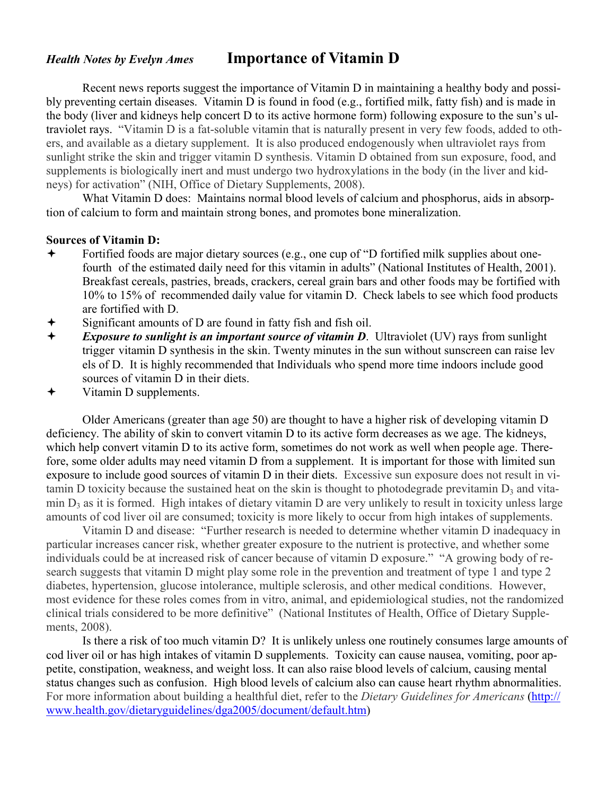## *Health Notes by Evelyn Ames* **Importance of Vitamin D**

 Recent news reports suggest the importance of Vitamin D in maintaining a healthy body and possibly preventing certain diseases. Vitamin D is found in food (e.g., fortified milk, fatty fish) and is made in the body (liver and kidneys help concert D to its active hormone form) following exposure to the sun's ultraviolet rays. "Vitamin D is a fat-soluble vitamin that is naturally present in very few foods, added to others, and available as a dietary supplement. It is also produced endogenously when ultraviolet rays from sunlight strike the skin and trigger vitamin D synthesis. Vitamin D obtained from sun exposure, food, and supplements is biologically inert and must undergo two hydroxylations in the body (in the liver and kidneys) for activation" (NIH, Office of Dietary Supplements, 2008).

 What Vitamin D does: Maintains normal blood levels of calcium and phosphorus, aids in absorption of calcium to form and maintain strong bones, and promotes bone mineralization.

#### **Sources of Vitamin D:**

- Fortified foods are major dietary sources (e.g., one cup of "D fortified milk supplies about one fourth of the estimated daily need for this vitamin in adults" (National Institutes of Health, 2001). Breakfast cereals, pastries, breads, crackers, cereal grain bars and other foods may be fortified with 10% to 15% of recommended daily value for vitamin D. Check labels to see which food products are fortified with D.
- Significant amounts of D are found in fatty fish and fish oil.
- *Exposure to sunlight is an important source of vitamin D. Ultraviolet (UV) rays from sunlight*  trigger vitamin D synthesis in the skin. Twenty minutes in the sun without sunscreen can raise lev els of D. It is highly recommended that Individuals who spend more time indoors include good sources of vitamin D in their diets.
- Vitamin D supplements.

 Older Americans (greater than age 50) are thought to have a higher risk of developing vitamin D deficiency. The ability of skin to convert vitamin D to its active form decreases as we age. The kidneys, which help convert vitamin D to its active form, sometimes do not work as well when people age. Therefore, some older adults may need vitamin D from a supplement. It is important for those with limited sun exposure to include good sources of vitamin D in their diets. Excessive sun exposure does not result in vitamin D toxicity because the sustained heat on the skin is thought to photodegrade previtamin  $D_3$  and vitamin  $D_3$  as it is formed. High intakes of dietary vitamin D are very unlikely to result in toxicity unless large amounts of cod liver oil are consumed; toxicity is more likely to occur from high intakes of supplements.

Vitamin D and disease: "Further research is needed to determine whether vitamin D inadequacy in particular increases cancer risk, whether greater exposure to the nutrient is protective, and whether some individuals could be at increased risk of cancer because of vitamin D exposure." "A growing body of research suggests that vitamin D might play some role in the prevention and treatment of type 1 and type 2 diabetes, hypertension, glucose intolerance, multiple sclerosis, and other medical conditions. However, most evidence for these roles comes from in vitro, animal, and epidemiological studies, not the randomized clinical trials considered to be more definitive" (National Institutes of Health, Office of Dietary Supplements, 2008).

 Is there a risk of too much vitamin D? It is unlikely unless one routinely consumes large amounts of cod liver oil or has high intakes of vitamin D supplements. Toxicity can cause nausea, vomiting, poor appetite, constipation, weakness, and weight loss. It can also raise blood levels of calcium, causing mental status changes such as confusion. High blood levels of calcium also can cause heart rhythm abnormalities. For more information about building a healthful diet, refer to the *Dietary Guidelines for Americans* (http:// www.health.gov/dietaryguidelines/dga2005/document/default.htm)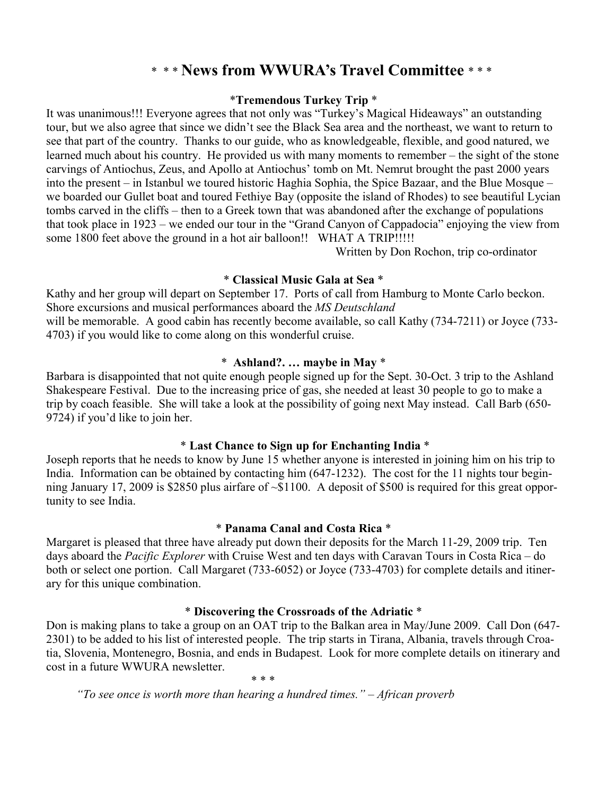## \* \* \* **News from WWURA's Travel Committee** \* \* \*

#### \***Tremendous Turkey Trip** \*

It was unanimous!!! Everyone agrees that not only was "Turkey's Magical Hideaways" an outstanding tour, but we also agree that since we didn't see the Black Sea area and the northeast, we want to return to see that part of the country. Thanks to our guide, who as knowledgeable, flexible, and good natured, we learned much about his country. He provided us with many moments to remember – the sight of the stone carvings of Antiochus, Zeus, and Apollo at Antiochus' tomb on Mt. Nemrut brought the past 2000 years into the present – in Istanbul we toured historic Haghia Sophia, the Spice Bazaar, and the Blue Mosque – we boarded our Gullet boat and toured Fethiye Bay (opposite the island of Rhodes) to see beautiful Lycian tombs carved in the cliffs – then to a Greek town that was abandoned after the exchange of populations that took place in 1923 – we ended our tour in the "Grand Canyon of Cappadocia" enjoying the view from some 1800 feet above the ground in a hot air balloon!! WHAT A TRIP!!!!!

Written by Don Rochon, trip co-ordinator

#### \* **Classical Music Gala at Sea** \*

Kathy and her group will depart on September 17. Ports of call from Hamburg to Monte Carlo beckon. Shore excursions and musical performances aboard the *MS Deutschland*  will be memorable. A good cabin has recently become available, so call Kathy (734-7211) or Joyce (733-4703) if you would like to come along on this wonderful cruise.

#### \* **Ashland?. … maybe in May** \*

Barbara is disappointed that not quite enough people signed up for the Sept. 30-Oct. 3 trip to the Ashland Shakespeare Festival. Due to the increasing price of gas, she needed at least 30 people to go to make a trip by coach feasible. She will take a look at the possibility of going next May instead. Call Barb (650- 9724) if you'd like to join her.

#### \* **Last Chance to Sign up for Enchanting India** \*

Joseph reports that he needs to know by June 15 whether anyone is interested in joining him on his trip to India. Information can be obtained by contacting him (647-1232). The cost for the 11 nights tour beginning January 17, 2009 is \$2850 plus airfare of ~\$1100. A deposit of \$500 is required for this great opportunity to see India.

#### \* **Panama Canal and Costa Rica** \*

Margaret is pleased that three have already put down their deposits for the March 11-29, 2009 trip. Ten days aboard the *Pacific Explorer* with Cruise West and ten days with Caravan Tours in Costa Rica – do both or select one portion. Call Margaret (733-6052) or Joyce (733-4703) for complete details and itinerary for this unique combination.

#### \* **Discovering the Crossroads of the Adriatic** \*

Don is making plans to take a group on an OAT trip to the Balkan area in May/June 2009. Call Don (647- 2301) to be added to his list of interested people. The trip starts in Tirana, Albania, travels through Croatia, Slovenia, Montenegro, Bosnia, and ends in Budapest. Look for more complete details on itinerary and cost in a future WWURA newsletter.

 $* * *$ 

 *"To see once is worth more than hearing a hundred times." – African proverb*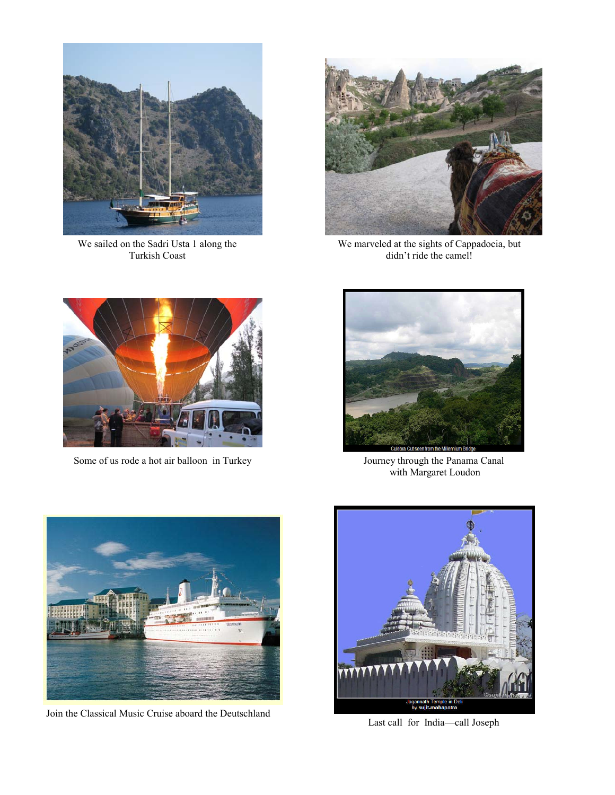

We sailed on the Sadri Usta 1 along the Turkish Coast



We marveled at the sights of Cappadocia, but didn't ride the camel!



Some of us rode a hot air balloon in Turkey



Journey through the Panama Canal with Margaret Loudon



Join the Classical Music Cruise aboard the Deutschland



Last call for India—call Joseph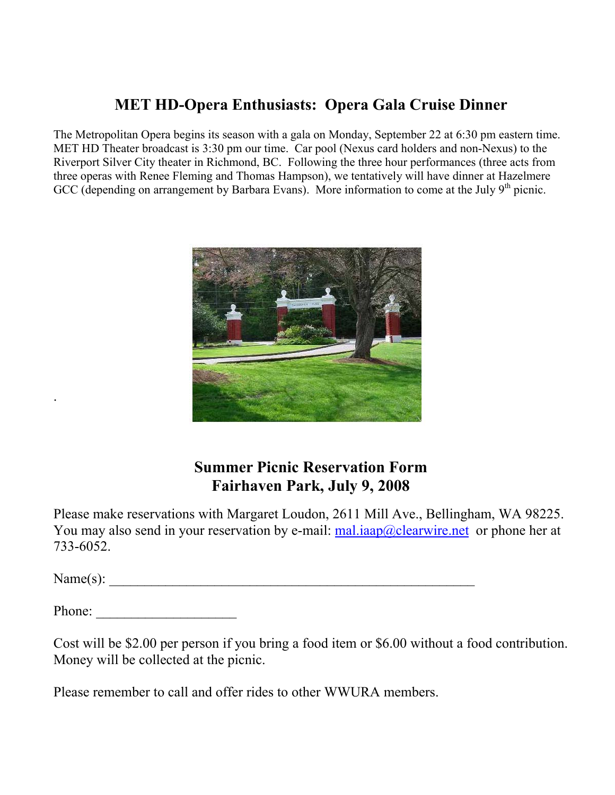# **MET HD-Opera Enthusiasts: Opera Gala Cruise Dinner**

The Metropolitan Opera begins its season with a gala on Monday, September 22 at 6:30 pm eastern time. MET HD Theater broadcast is 3:30 pm our time. Car pool (Nexus card holders and non-Nexus) to the Riverport Silver City theater in Richmond, BC. Following the three hour performances (three acts from three operas with Renee Fleming and Thomas Hampson), we tentatively will have dinner at Hazelmere GCC (depending on arrangement by Barbara Evans). More information to come at the July  $9<sup>th</sup>$  picnic.



# **Summer Picnic Reservation Form Fairhaven Park, July 9, 2008**

Please make reservations with Margaret Loudon, 2611 Mill Ave., Bellingham, WA 98225. You may also send in your reservation by e-mail:  $mali:  $\frac{mali:  $\frac{mali:  $\frac{moli}{moli}}{moli}$  also send her at$$$ 733-6052.

 $Name(s):$ 

.

Phone:

Cost will be \$2.00 per person if you bring a food item or \$6.00 without a food contribution. Money will be collected at the picnic.

Please remember to call and offer rides to other WWURA members.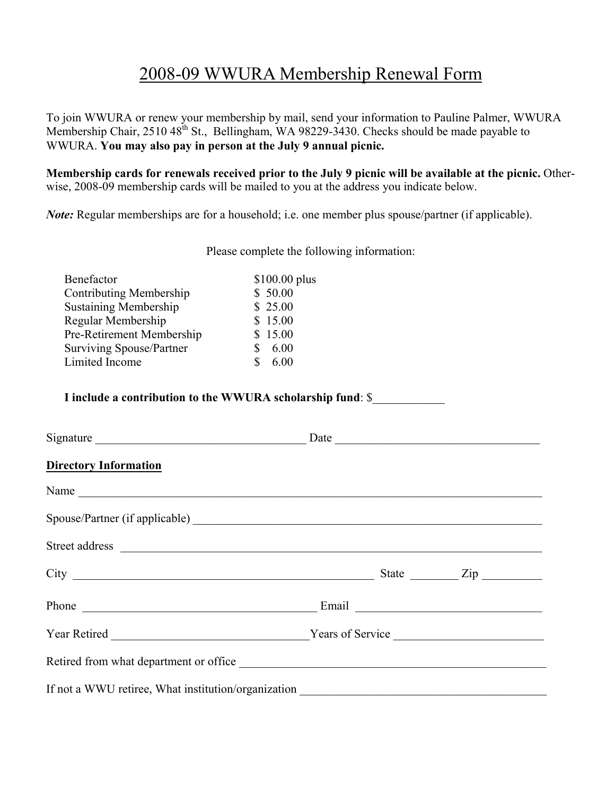# 2008-09 WWURA Membership Renewal Form

To join WWURA or renew your membership by mail, send your information to Pauline Palmer, WWURA Membership Chair, 2510  $48^{th}$  St., Bellingham, WA 98229-3430. Checks should be made payable to WWURA. **You may also pay in person at the July 9 annual picnic.**

**Membership cards for renewals received prior to the July 9 picnic will be available at the picnic.** Otherwise, 2008-09 membership cards will be mailed to you at the address you indicate below.

*Note:* Regular memberships are for a household; i.e. one member plus spouse/partner (if applicable).

Please complete the following information:

| \$100.00 plus |
|---------------|
|               |
|               |
|               |
|               |
|               |
|               |
|               |

**I include a contribution to the WWURA scholarship fund**: \$\_\_\_\_\_\_\_\_\_\_\_\_

| Signature                                                                                                                                                                                                                           |  |  |  |
|-------------------------------------------------------------------------------------------------------------------------------------------------------------------------------------------------------------------------------------|--|--|--|
| <b>Directory Information</b>                                                                                                                                                                                                        |  |  |  |
| Name                                                                                                                                                                                                                                |  |  |  |
|                                                                                                                                                                                                                                     |  |  |  |
| Street address <u>and the second second</u> contains the second second second second second second second second second second second second second second second second second second second second second second second second se |  |  |  |
| $City$ $City$ $Zip$                                                                                                                                                                                                                 |  |  |  |
|                                                                                                                                                                                                                                     |  |  |  |
|                                                                                                                                                                                                                                     |  |  |  |
| Retired from what department or office                                                                                                                                                                                              |  |  |  |
| If not a WWU retiree, What institution/organization                                                                                                                                                                                 |  |  |  |